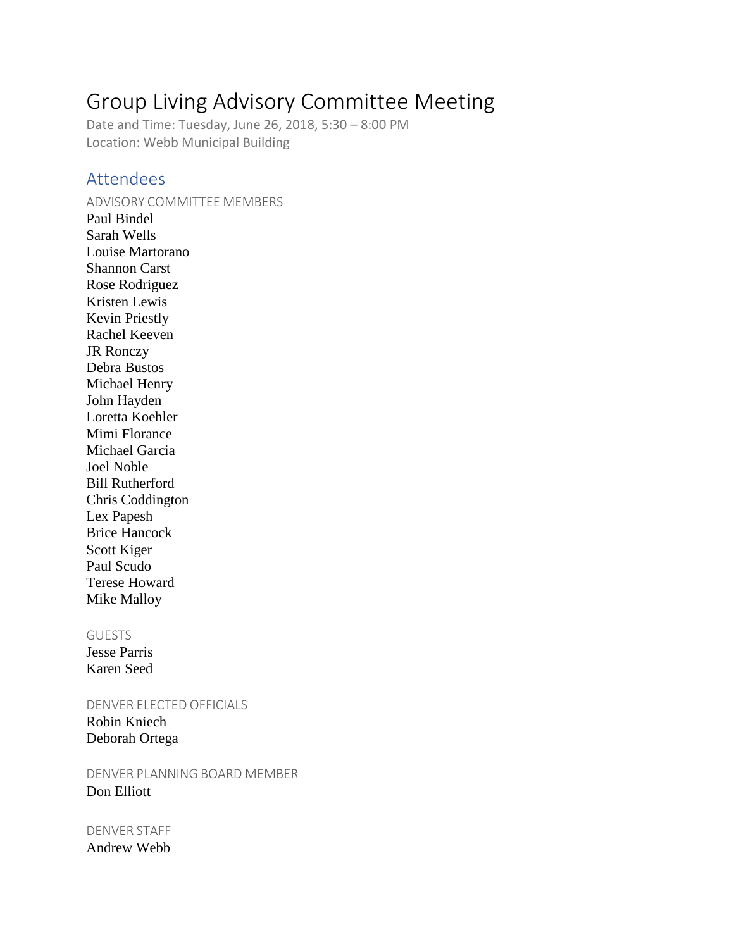# Group Living Advisory Committee Meeting

Date and Time: Tuesday, June 26, 2018, 5:30 – 8:00 PM Location: Webb Municipal Building

## Attendees

### ADVISORY COMMITTEE MEMBERS

Paul Bindel Sarah Wells Louise Martorano Shannon Carst Rose Rodriguez Kristen Lewis Kevin Priestly Rachel Keeven JR Ronczy Debra Bustos Michael Henry John Hayden Loretta Koehler Mimi Florance Michael Garcia Joel Noble Bill Rutherford Chris Coddington Lex Papesh Brice Hancock Scott Kiger Paul Scudo Terese Howard Mike Malloy

#### GUESTS

Jesse Parris Karen Seed

#### DENVER ELECTED OFFICIALS

Robin Kniech Deborah Ortega

DENVER PLANNING BOARD MEMBER Don Elliott

# DENVER STAFF

Andrew Webb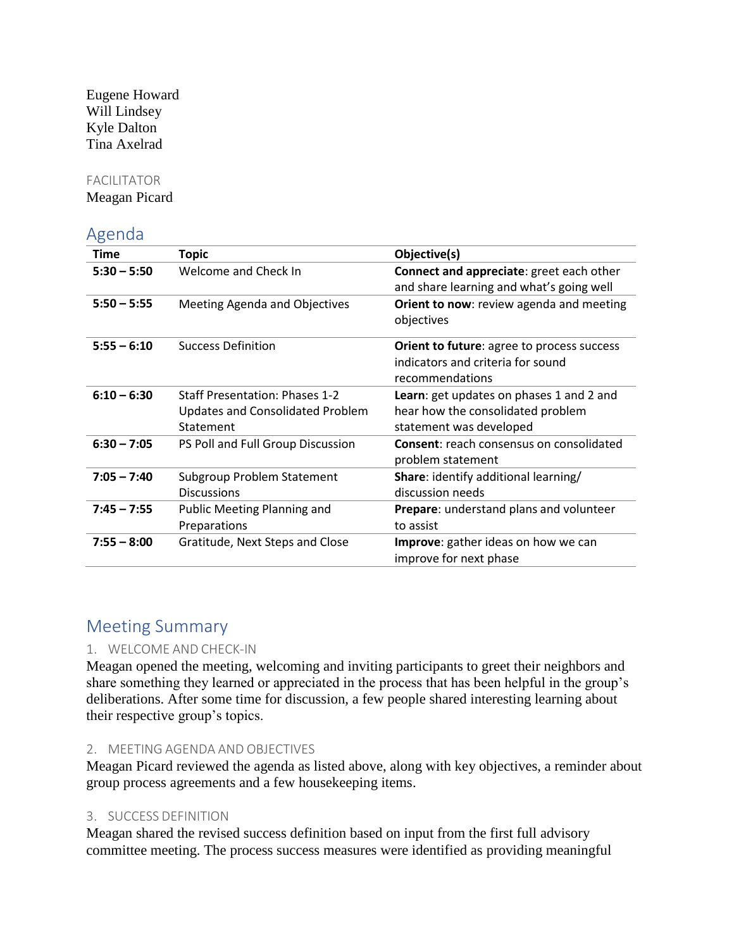Eugene Howard Will Lindsey Kyle Dalton Tina Axelrad

### FACILITATOR

Meagan Picard

### Agenda

| Time          | <b>Topic</b>                                                                                  | Objective(s)                                                                                              |
|---------------|-----------------------------------------------------------------------------------------------|-----------------------------------------------------------------------------------------------------------|
| $5:30 - 5:50$ | Welcome and Check In                                                                          | Connect and appreciate: greet each other<br>and share learning and what's going well                      |
| $5:50 - 5:55$ | Meeting Agenda and Objectives                                                                 | Orient to now: review agenda and meeting<br>objectives                                                    |
| $5:55 - 6:10$ | <b>Success Definition</b>                                                                     | <b>Orient to future: agree to process success</b><br>indicators and criteria for sound<br>recommendations |
| $6:10 - 6:30$ | <b>Staff Presentation: Phases 1-2</b><br><b>Updates and Consolidated Problem</b><br>Statement | Learn: get updates on phases 1 and 2 and<br>hear how the consolidated problem<br>statement was developed  |
| $6:30 - 7:05$ | PS Poll and Full Group Discussion                                                             | Consent: reach consensus on consolidated<br>problem statement                                             |
| $7:05 - 7:40$ | Subgroup Problem Statement<br><b>Discussions</b>                                              | Share: identify additional learning/<br>discussion needs                                                  |
| $7:45 - 7:55$ | Public Meeting Planning and<br>Preparations                                                   | Prepare: understand plans and volunteer<br>to assist                                                      |
| $7:55 - 8:00$ | Gratitude, Next Steps and Close                                                               | Improve: gather ideas on how we can<br>improve for next phase                                             |

# Meeting Summary

### 1. WELCOME AND CHECK-IN

Meagan opened the meeting, welcoming and inviting participants to greet their neighbors and share something they learned or appreciated in the process that has been helpful in the group's deliberations. After some time for discussion, a few people shared interesting learning about their respective group's topics.

#### 2. MEETING AGENDA AND OBJECTIVES

Meagan Picard reviewed the agenda as listed above, along with key objectives, a reminder about group process agreements and a few housekeeping items.

### 3. SUCCESS DEFINITION

Meagan shared the revised success definition based on input from the first full advisory committee meeting. The process success measures were identified as providing meaningful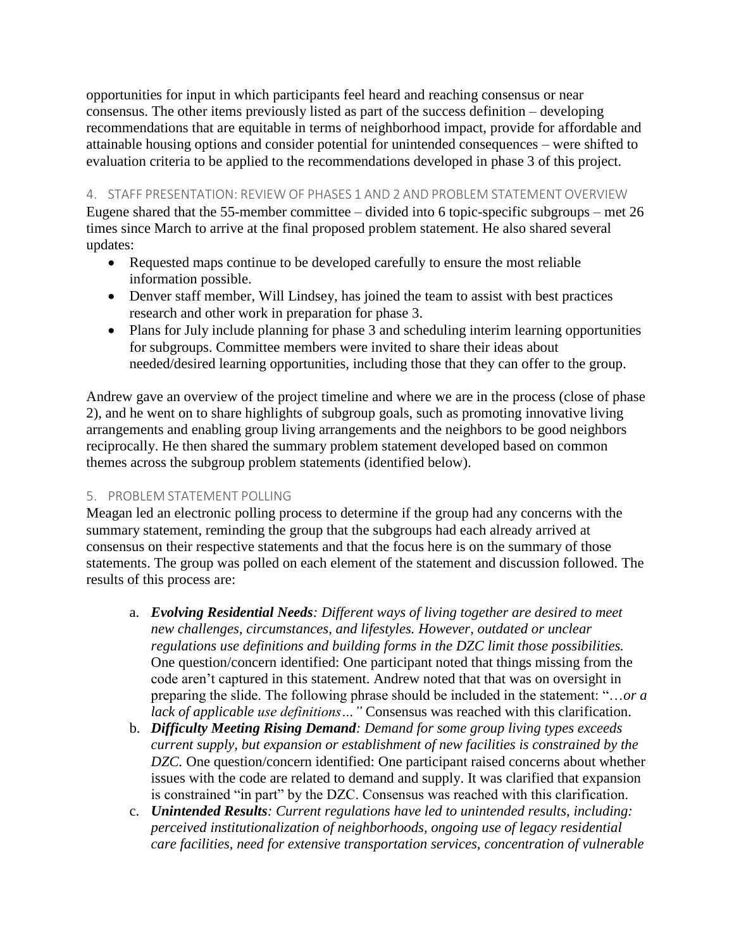opportunities for input in which participants feel heard and reaching consensus or near consensus. The other items previously listed as part of the success definition – developing recommendations that are equitable in terms of neighborhood impact, provide for affordable and attainable housing options and consider potential for unintended consequences – were shifted to evaluation criteria to be applied to the recommendations developed in phase 3 of this project.

4. STAFF PRESENTATION: REVIEW OF PHASES 1 AND 2 AND PROBLEM STATEMENT OVERVIEW

Eugene shared that the 55-member committee – divided into 6 topic-specific subgroups – met 26 times since March to arrive at the final proposed problem statement. He also shared several updates:

- Requested maps continue to be developed carefully to ensure the most reliable information possible.
- Denver staff member, Will Lindsey, has joined the team to assist with best practices research and other work in preparation for phase 3.
- Plans for July include planning for phase 3 and scheduling interim learning opportunities for subgroups. Committee members were invited to share their ideas about needed/desired learning opportunities, including those that they can offer to the group.

Andrew gave an overview of the project timeline and where we are in the process (close of phase 2), and he went on to share highlights of subgroup goals, such as promoting innovative living arrangements and enabling group living arrangements and the neighbors to be good neighbors reciprocally. He then shared the summary problem statement developed based on common themes across the subgroup problem statements (identified below).

### 5. PROBLEM STATEMENT POLLING

Meagan led an electronic polling process to determine if the group had any concerns with the summary statement, reminding the group that the subgroups had each already arrived at consensus on their respective statements and that the focus here is on the summary of those statements. The group was polled on each element of the statement and discussion followed. The results of this process are:

- a. *Evolving Residential Needs: Different ways of living together are desired to meet new challenges, circumstances, and lifestyles. However, outdated or unclear regulations use definitions and building forms in the DZC limit those possibilities.* One question/concern identified: One participant noted that things missing from the code aren't captured in this statement. Andrew noted that that was on oversight in preparing the slide. The following phrase should be included in the statement: "…*or a lack of applicable use definitions* ... " Consensus was reached with this clarification.
- b. *Difficulty Meeting Rising Demand: Demand for some group living types exceeds current supply, but expansion or establishment of new facilities is constrained by the DZC.* One question/concern identified: One participant raised concerns about whether issues with the code are related to demand and supply. It was clarified that expansion is constrained "in part" by the DZC. Consensus was reached with this clarification.
- c. *Unintended Results: Current regulations have led to unintended results, including: perceived institutionalization of neighborhoods, ongoing use of legacy residential care facilities, need for extensive transportation services, concentration of vulnerable*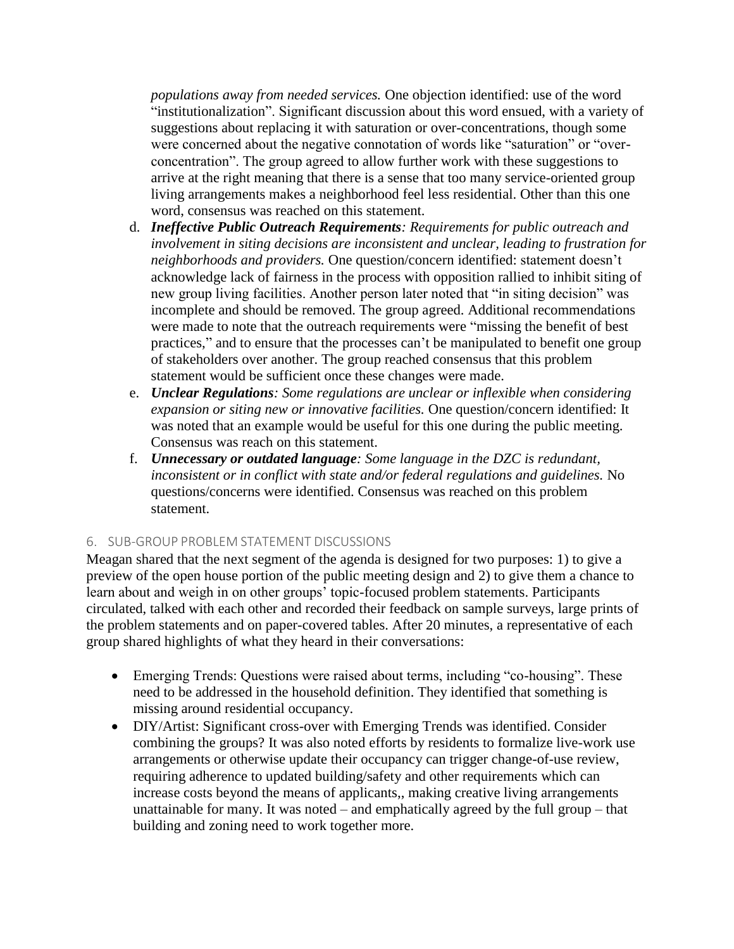*populations away from needed services.* One objection identified: use of the word "institutionalization". Significant discussion about this word ensued, with a variety of suggestions about replacing it with saturation or over-concentrations, though some were concerned about the negative connotation of words like "saturation" or "overconcentration". The group agreed to allow further work with these suggestions to arrive at the right meaning that there is a sense that too many service-oriented group living arrangements makes a neighborhood feel less residential. Other than this one word, consensus was reached on this statement.

- d. *Ineffective Public Outreach Requirements: Requirements for public outreach and involvement in siting decisions are inconsistent and unclear, leading to frustration for neighborhoods and providers.* One question/concern identified: statement doesn't acknowledge lack of fairness in the process with opposition rallied to inhibit siting of new group living facilities. Another person later noted that "in siting decision" was incomplete and should be removed. The group agreed. Additional recommendations were made to note that the outreach requirements were "missing the benefit of best practices," and to ensure that the processes can't be manipulated to benefit one group of stakeholders over another. The group reached consensus that this problem statement would be sufficient once these changes were made.
- e. *Unclear Regulations: Some regulations are unclear or inflexible when considering expansion or siting new or innovative facilities.* One question/concern identified: It was noted that an example would be useful for this one during the public meeting. Consensus was reach on this statement.
- f. *Unnecessary or outdated language: Some language in the DZC is redundant, inconsistent or in conflict with state and/or federal regulations and guidelines.* No questions/concerns were identified. Consensus was reached on this problem statement.

### 6. SUB-GROUP PROBLEM STATEMENT DISCUSSIONS

Meagan shared that the next segment of the agenda is designed for two purposes: 1) to give a preview of the open house portion of the public meeting design and 2) to give them a chance to learn about and weigh in on other groups' topic-focused problem statements. Participants circulated, talked with each other and recorded their feedback on sample surveys, large prints of the problem statements and on paper-covered tables. After 20 minutes, a representative of each group shared highlights of what they heard in their conversations:

- Emerging Trends: Questions were raised about terms, including "co-housing". These need to be addressed in the household definition. They identified that something is missing around residential occupancy.
- DIY/Artist: Significant cross-over with Emerging Trends was identified. Consider combining the groups? It was also noted efforts by residents to formalize live-work use arrangements or otherwise update their occupancy can trigger change-of-use review, requiring adherence to updated building/safety and other requirements which can increase costs beyond the means of applicants,, making creative living arrangements unattainable for many. It was noted – and emphatically agreed by the full group – that building and zoning need to work together more.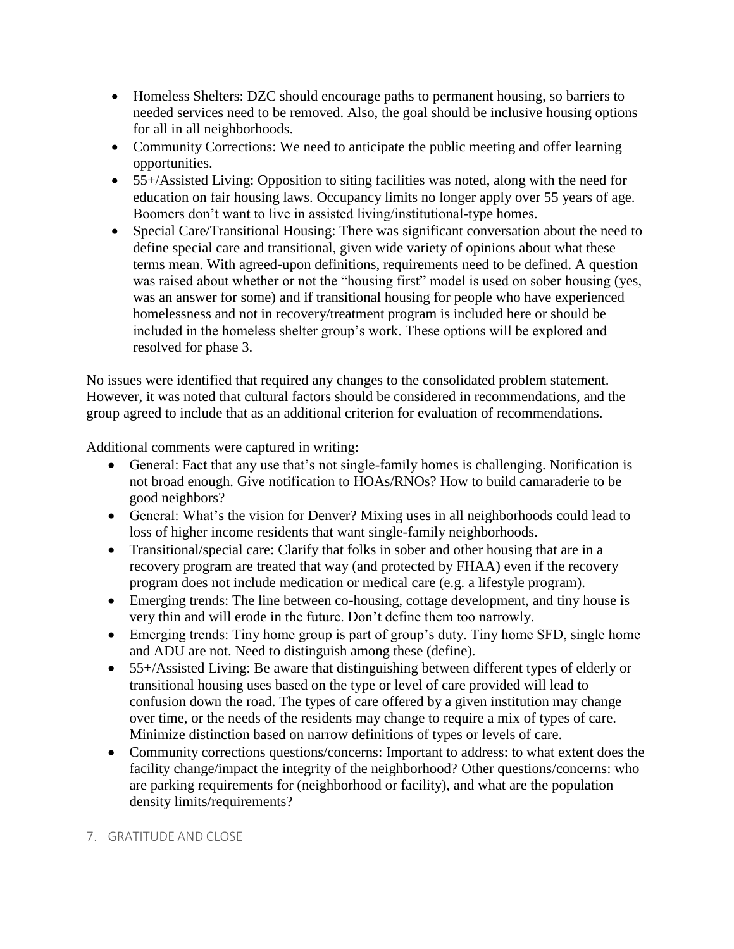- Homeless Shelters: DZC should encourage paths to permanent housing, so barriers to needed services need to be removed. Also, the goal should be inclusive housing options for all in all neighborhoods.
- Community Corrections: We need to anticipate the public meeting and offer learning opportunities.
- 55+/Assisted Living: Opposition to siting facilities was noted, along with the need for education on fair housing laws. Occupancy limits no longer apply over 55 years of age. Boomers don't want to live in assisted living/institutional-type homes.
- Special Care/Transitional Housing: There was significant conversation about the need to define special care and transitional, given wide variety of opinions about what these terms mean. With agreed-upon definitions, requirements need to be defined. A question was raised about whether or not the "housing first" model is used on sober housing (yes, was an answer for some) and if transitional housing for people who have experienced homelessness and not in recovery/treatment program is included here or should be included in the homeless shelter group's work. These options will be explored and resolved for phase 3.

No issues were identified that required any changes to the consolidated problem statement. However, it was noted that cultural factors should be considered in recommendations, and the group agreed to include that as an additional criterion for evaluation of recommendations.

Additional comments were captured in writing:

- General: Fact that any use that's not single-family homes is challenging. Notification is not broad enough. Give notification to HOAs/RNOs? How to build camaraderie to be good neighbors?
- General: What's the vision for Denver? Mixing uses in all neighborhoods could lead to loss of higher income residents that want single-family neighborhoods.
- Transitional/special care: Clarify that folks in sober and other housing that are in a recovery program are treated that way (and protected by FHAA) even if the recovery program does not include medication or medical care (e.g. a lifestyle program).
- Emerging trends: The line between co-housing, cottage development, and tiny house is very thin and will erode in the future. Don't define them too narrowly.
- Emerging trends: Tiny home group is part of group's duty. Tiny home SFD, single home and ADU are not. Need to distinguish among these (define).
- 55+/Assisted Living: Be aware that distinguishing between different types of elderly or transitional housing uses based on the type or level of care provided will lead to confusion down the road. The types of care offered by a given institution may change over time, or the needs of the residents may change to require a mix of types of care. Minimize distinction based on narrow definitions of types or levels of care.
- Community corrections questions/concerns: Important to address: to what extent does the facility change/impact the integrity of the neighborhood? Other questions/concerns: who are parking requirements for (neighborhood or facility), and what are the population density limits/requirements?

### 7. GRATITUDE AND CLOSE